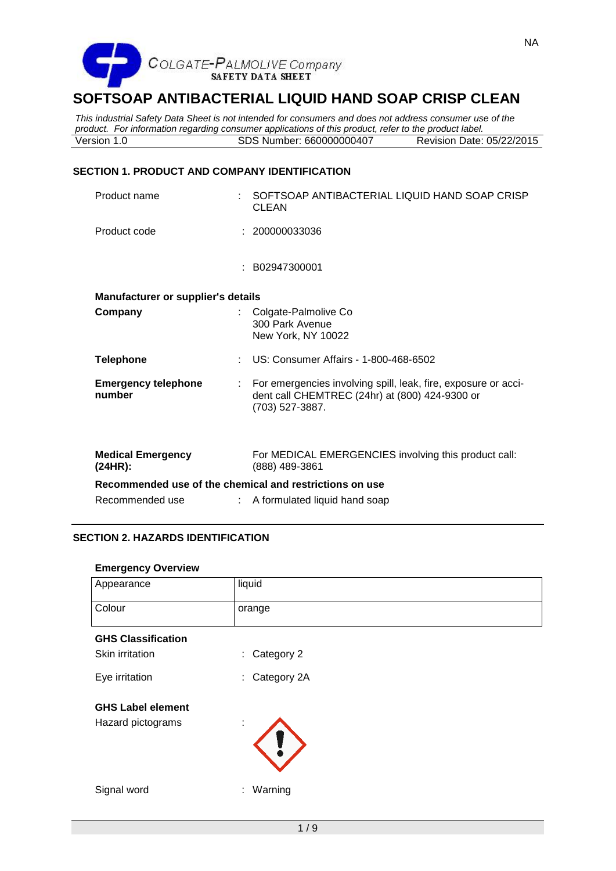

*This industrial Safety Data Sheet is not intended for consumers and does not address consumer use of the product. For information regarding consumer applications of this product, refer to the product label.* SDS Number: 660000000407

# **SECTION 1. PRODUCT AND COMPANY IDENTIFICATION**

| Product name                                            | SOFTSOAP ANTIBACTERIAL LIQUID HAND SOAP CRISP<br>CLEAN                                                                              |
|---------------------------------------------------------|-------------------------------------------------------------------------------------------------------------------------------------|
| Product code                                            | : 200000033036                                                                                                                      |
|                                                         | : B02947300001                                                                                                                      |
| <b>Manufacturer or supplier's details</b>               |                                                                                                                                     |
| Company                                                 | Colgate-Palmolive Co<br>300 Park Avenue<br>New York, NY 10022                                                                       |
| <b>Telephone</b>                                        | US: Consumer Affairs - 1-800-468-6502                                                                                               |
| <b>Emergency telephone</b><br>number                    | For emergencies involving spill, leak, fire, exposure or acci-<br>dent call CHEMTREC (24hr) at (800) 424-9300 or<br>(703) 527-3887. |
| <b>Medical Emergency</b><br>(24HR):                     | For MEDICAL EMERGENCIES involving this product call:<br>(888) 489-3861                                                              |
| Recommended use of the chemical and restrictions on use |                                                                                                                                     |
| Recommended use                                         | A formulated liquid hand soap                                                                                                       |

# **SECTION 2. HAZARDS IDENTIFICATION**

#### **Emergency Overview**

| Appearance                | liquid            |
|---------------------------|-------------------|
| Colour                    | orange            |
| <b>GHS Classification</b> |                   |
| Skin irritation           | Category 2<br>÷.  |
| Eye irritation            | Category 2A<br>÷. |
| <b>GHS Label element</b>  |                   |
| Hazard pictograms         | ٠<br>$\mathbf{r}$ |
| Signal word               | : Warning         |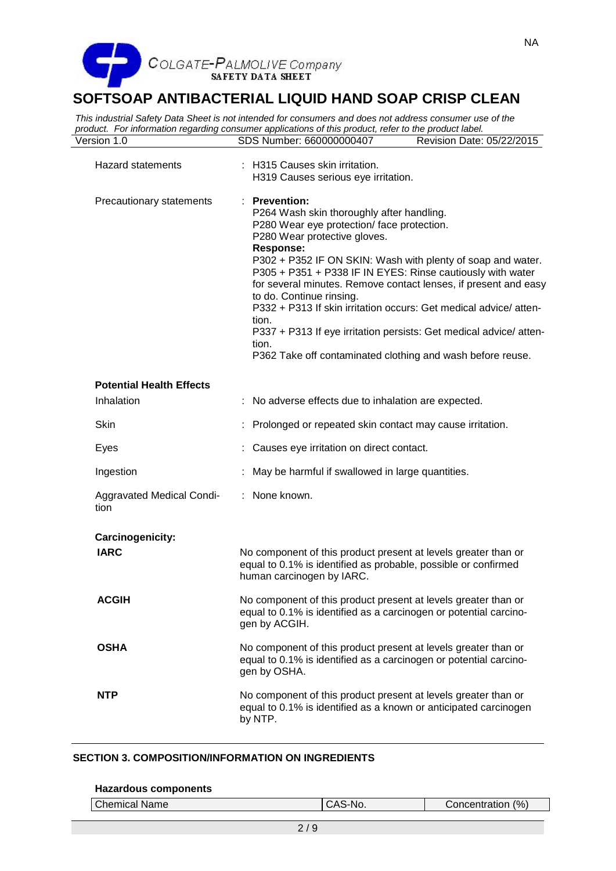

*This industrial Safety Data Sheet is not intended for consumers and does not address consumer use of the product. For information regarding consumer applications of this product, refer to the product label.* SDS Number: 660000000407

| Hazard statements                             | : H315 Causes skin irritation.<br>H319 Causes serious eye irritation.                                                                                                                                                                                                                                                                                                                                                                                                                                                                                                                                             |
|-----------------------------------------------|-------------------------------------------------------------------------------------------------------------------------------------------------------------------------------------------------------------------------------------------------------------------------------------------------------------------------------------------------------------------------------------------------------------------------------------------------------------------------------------------------------------------------------------------------------------------------------------------------------------------|
| Precautionary statements                      | : Prevention:<br>P264 Wash skin thoroughly after handling.<br>P280 Wear eye protection/ face protection.<br>P280 Wear protective gloves.<br><b>Response:</b><br>P302 + P352 IF ON SKIN: Wash with plenty of soap and water.<br>P305 + P351 + P338 IF IN EYES: Rinse cautiously with water<br>for several minutes. Remove contact lenses, if present and easy<br>to do. Continue rinsing.<br>P332 + P313 If skin irritation occurs: Get medical advice/atten-<br>tion.<br>P337 + P313 If eye irritation persists: Get medical advice/atten-<br>tion.<br>P362 Take off contaminated clothing and wash before reuse. |
| <b>Potential Health Effects</b><br>Inhalation | : No adverse effects due to inhalation are expected.                                                                                                                                                                                                                                                                                                                                                                                                                                                                                                                                                              |
| Skin                                          | : Prolonged or repeated skin contact may cause irritation.                                                                                                                                                                                                                                                                                                                                                                                                                                                                                                                                                        |
| Eyes                                          | Causes eye irritation on direct contact.                                                                                                                                                                                                                                                                                                                                                                                                                                                                                                                                                                          |
| Ingestion                                     | May be harmful if swallowed in large quantities.                                                                                                                                                                                                                                                                                                                                                                                                                                                                                                                                                                  |
| Aggravated Medical Condi-<br>tion             | : None known.                                                                                                                                                                                                                                                                                                                                                                                                                                                                                                                                                                                                     |
| Carcinogenicity:                              |                                                                                                                                                                                                                                                                                                                                                                                                                                                                                                                                                                                                                   |
| <b>IARC</b>                                   | No component of this product present at levels greater than or<br>equal to 0.1% is identified as probable, possible or confirmed<br>human carcinogen by IARC.                                                                                                                                                                                                                                                                                                                                                                                                                                                     |
| <b>ACGIH</b>                                  | No component of this product present at levels greater than or<br>equal to 0.1% is identified as a carcinogen or potential carcino-<br>gen by ACGIH.                                                                                                                                                                                                                                                                                                                                                                                                                                                              |
| <b>OSHA</b>                                   | No component of this product present at levels greater than or<br>equal to 0.1% is identified as a carcinogen or potential carcino-<br>gen by OSHA.                                                                                                                                                                                                                                                                                                                                                                                                                                                               |
| <b>NTP</b>                                    | No component of this product present at levels greater than or<br>equal to 0.1% is identified as a known or anticipated carcinogen<br>by NTP.                                                                                                                                                                                                                                                                                                                                                                                                                                                                     |

# **SECTION 3. COMPOSITION/INFORMATION ON INGREDIENTS**

| (% )<br>$\mathbf{r}$<br>Chemical Name<br>じoncentration<br>-Nr<br>$\overline{\phantom{0}}$<br>. J . |
|----------------------------------------------------------------------------------------------------|
|----------------------------------------------------------------------------------------------------|

NA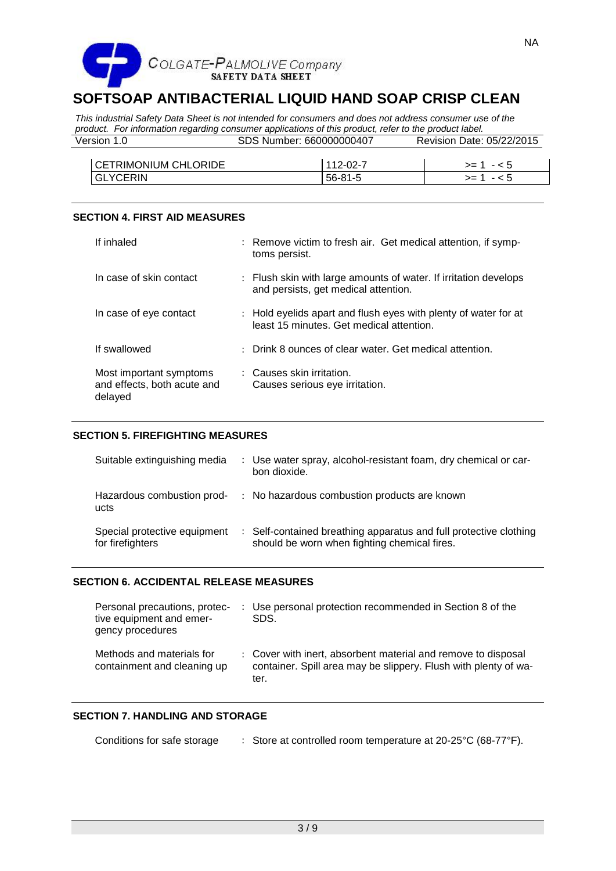

*This industrial Safety Data Sheet is not intended for consumers and does not address consumer use of the product. For information regarding consumer applications of this product, refer to the product label.* SDS Number: 660000000407

| <b>CETRIMONIUM CHLORIDE</b> | 112-02-7 | $>= 1 - 5$    |
|-----------------------------|----------|---------------|
| <b>GLYCERIN</b>             | 56-81-5  | >= 1<br>- < 5 |

# **SECTION 4. FIRST AID MEASURES**

| If inhaled                                                        | : Remove victim to fresh air. Get medical attention, if symp-<br>toms persist.                              |
|-------------------------------------------------------------------|-------------------------------------------------------------------------------------------------------------|
| In case of skin contact                                           | : Flush skin with large amounts of water. If irritation develops<br>and persists, get medical attention.    |
| In case of eye contact                                            | : Hold eyelids apart and flush eyes with plenty of water for at<br>least 15 minutes. Get medical attention. |
| If swallowed                                                      | : Drink 8 ounces of clear water. Get medical attention.                                                     |
| Most important symptoms<br>and effects, both acute and<br>delayed | : Causes skin irritation.<br>Causes serious eye irritation.                                                 |

# **SECTION 5. FIREFIGHTING MEASURES**

| Suitable extinguishing media                     | : Use water spray, alcohol-resistant foam, dry chemical or car-<br>bon dioxide.                                   |
|--------------------------------------------------|-------------------------------------------------------------------------------------------------------------------|
| Hazardous combustion prod-<br>ucts               | : No hazardous combustion products are known                                                                      |
| Special protective equipment<br>for firefighters | : Self-contained breathing apparatus and full protective clothing<br>should be worn when fighting chemical fires. |

# **SECTION 6. ACCIDENTAL RELEASE MEASURES**

| Personal precautions, protec-<br>tive equipment and emer-<br>gency procedures | : Use personal protection recommended in Section 8 of the<br>SDS.                                                                        |
|-------------------------------------------------------------------------------|------------------------------------------------------------------------------------------------------------------------------------------|
| Methods and materials for<br>containment and cleaning up                      | : Cover with inert, absorbent material and remove to disposal<br>container. Spill area may be slippery. Flush with plenty of wa-<br>ter. |

# **SECTION 7. HANDLING AND STORAGE**

| Conditions for safe storage |  | Store at controlled room temperature at 20-25°C (68-77°F). |
|-----------------------------|--|------------------------------------------------------------|
|-----------------------------|--|------------------------------------------------------------|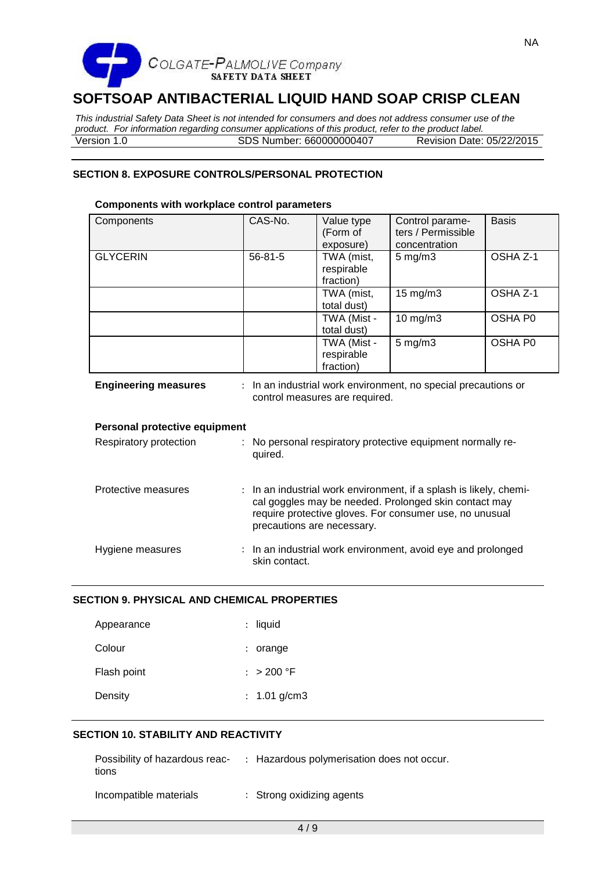

*This industrial Safety Data Sheet is not intended for consumers and does not address consumer use of the product. For information regarding consumer applications of this product, refer to the product label.* SDS Number: 660000000407

# **SECTION 8. EXPOSURE CONTROLS/PERSONAL PROTECTION**

#### **Components with workplace control parameters**

| Components                    | CAS-No.                                                                                                                                                                                                                              | Value type<br>(Form of<br>exposure)    | Control parame-<br>ters / Permissible<br>concentration       | <b>Basis</b> |  |
|-------------------------------|--------------------------------------------------------------------------------------------------------------------------------------------------------------------------------------------------------------------------------------|----------------------------------------|--------------------------------------------------------------|--------------|--|
| <b>GLYCERIN</b>               | $56 - 81 - 5$                                                                                                                                                                                                                        | TWA (mist,<br>respirable<br>fraction)  | $5 \text{ mg/m}$ 3                                           | OSHA Z-1     |  |
|                               |                                                                                                                                                                                                                                      | TWA (mist,<br>total dust)              | 15 mg/m3                                                     | OSHA Z-1     |  |
|                               |                                                                                                                                                                                                                                      | TWA (Mist -<br>total dust)             | 10 mg/m3                                                     | OSHA P0      |  |
|                               |                                                                                                                                                                                                                                      | TWA (Mist -<br>respirable<br>fraction) | $5$ mg/m $3$                                                 | OSHA P0      |  |
| <b>Engineering measures</b>   | $\ddot{\cdot}$                                                                                                                                                                                                                       | control measures are required.         | In an industrial work environment, no special precautions or |              |  |
| Personal protective equipment |                                                                                                                                                                                                                                      |                                        |                                                              |              |  |
| Respiratory protection        | quired.                                                                                                                                                                                                                              |                                        | No personal respiratory protective equipment normally re-    |              |  |
| Protective measures           | In an industrial work environment, if a splash is likely, chemi-<br>$\ddot{\cdot}$<br>cal goggles may be needed. Prolonged skin contact may<br>require protective gloves. For consumer use, no unusual<br>precautions are necessary. |                                        |                                                              |              |  |
| Hygiene measures              | skin contact.                                                                                                                                                                                                                        |                                        | In an industrial work environment, avoid eye and prolonged   |              |  |

#### **SECTION 9. PHYSICAL AND CHEMICAL PROPERTIES**

| Appearance  | $:$ liquid     |
|-------------|----------------|
| Colour      | $:$ orange     |
| Flash point | : $> 200 °F$   |
| Density     | : $1.01$ g/cm3 |

#### **SECTION 10. STABILITY AND REACTIVITY**

| Possibility of hazardous reac-<br>tions | : Hazardous polymerisation does not occur. |
|-----------------------------------------|--------------------------------------------|
| Incompatible materials                  | $\therefore$ Strong oxidizing agents       |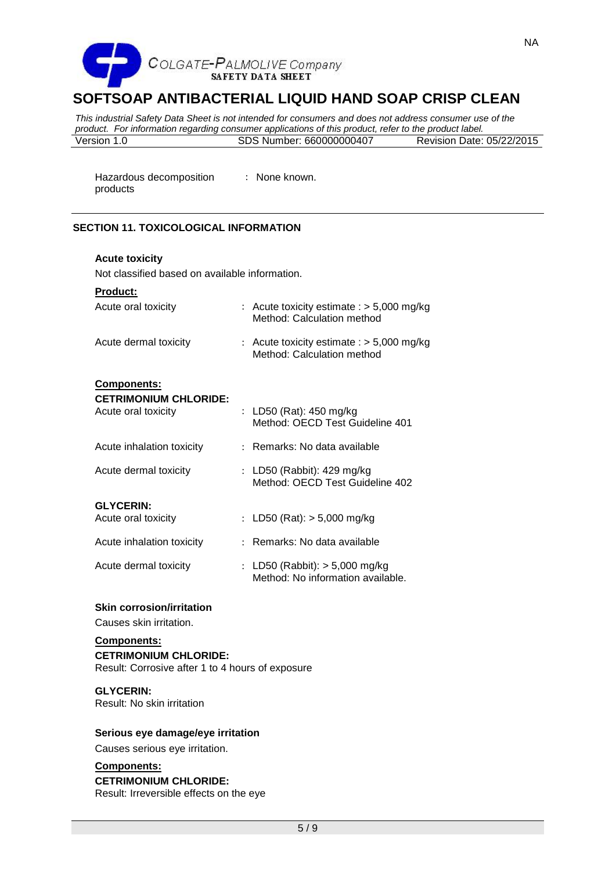

*This industrial Safety Data Sheet is not intended for consumers and does not address consumer use of the product. For information regarding consumer applications of this product, refer to the product label.* SDS Number: 660000000407

Hazardous decomposition products : None known.

# **SECTION 11. TOXICOLOGICAL INFORMATION**

#### **Acute toxicity**

Not classified based on available information.

# **Product:**

| Acute oral toxicity   | : Acute toxicity estimate : $> 5,000$ mg/kg<br>Method: Calculation method |
|-----------------------|---------------------------------------------------------------------------|
| Acute dermal toxicity | : Acute toxicity estimate : $> 5,000$ mg/kg<br>Method: Calculation method |

# **Components:**

**CETRIMONIUM CHLORIDE:**

| <b>UCIRIMONIUM UNLURIDE.</b><br>Acute oral toxicity | : LD50 (Rat): 450 mg/kg<br>Method: OECD Test Guideline 401              |
|-----------------------------------------------------|-------------------------------------------------------------------------|
| Acute inhalation toxicity                           | : Remarks: No data available                                            |
| Acute dermal toxicity                               | : LD50 (Rabbit): $429 \text{ mg/kg}$<br>Method: OECD Test Guideline 402 |
| <b>GLYCERIN:</b><br>Acute oral toxicity             | : LD50 (Rat): $> 5,000$ mg/kg                                           |
| Acute inhalation toxicity                           | : Remarks: No data available                                            |
| Acute dermal toxicity                               | : LD50 (Rabbit): $> 5,000$ mg/kg<br>Method: No information available.   |

# **Skin corrosion/irritation**

Causes skin irritation.

#### **Components: CETRIMONIUM CHLORIDE:**

Result: Corrosive after 1 to 4 hours of exposure

# **GLYCERIN:**

Result: No skin irritation

# **Serious eye damage/eye irritation**

Causes serious eye irritation.

# **Components:**

**CETRIMONIUM CHLORIDE:** Result: Irreversible effects on the eye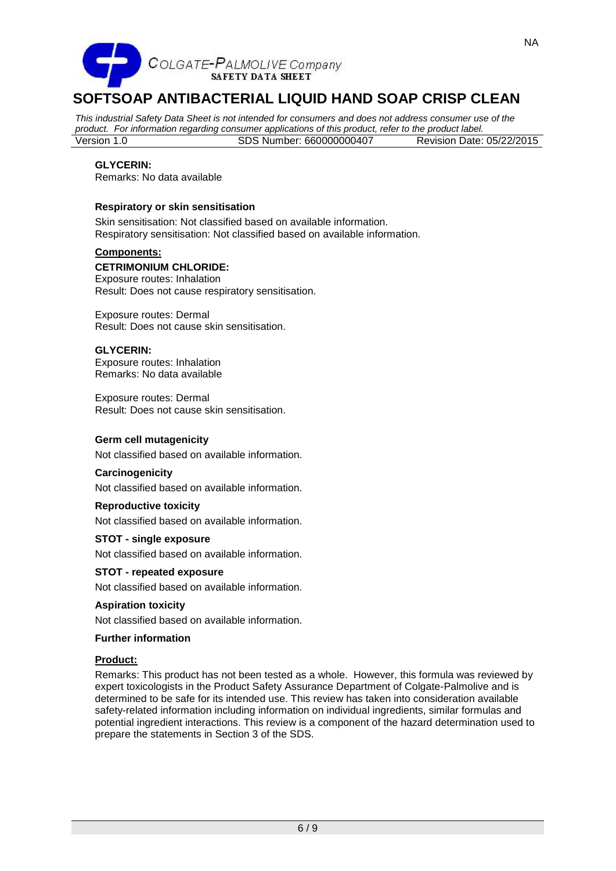

*This industrial Safety Data Sheet is not intended for consumers and does not address consumer use of the product. For information regarding consumer applications of this product, refer to the product label.* SDS Number: 660000000407

# **GLYCERIN:**

Remarks: No data available

### **Respiratory or skin sensitisation**

Skin sensitisation: Not classified based on available information. Respiratory sensitisation: Not classified based on available information.

### **Components:**

**CETRIMONIUM CHLORIDE:** Exposure routes: Inhalation Result: Does not cause respiratory sensitisation.

Exposure routes: Dermal Result: Does not cause skin sensitisation.

### **GLYCERIN:**

Exposure routes: Inhalation Remarks: No data available

Exposure routes: Dermal Result: Does not cause skin sensitisation.

#### **Germ cell mutagenicity**

Not classified based on available information.

### **Carcinogenicity**

Not classified based on available information.

# **Reproductive toxicity**

Not classified based on available information.

### **STOT - single exposure**

Not classified based on available information.

#### **STOT - repeated exposure**

Not classified based on available information.

#### **Aspiration toxicity**

Not classified based on available information.

#### **Further information**

# **Product:**

Remarks: This product has not been tested as a whole. However, this formula was reviewed by expert toxicologists in the Product Safety Assurance Department of Colgate-Palmolive and is determined to be safe for its intended use. This review has taken into consideration available safety-related information including information on individual ingredients, similar formulas and potential ingredient interactions. This review is a component of the hazard determination used to prepare the statements in Section 3 of the SDS.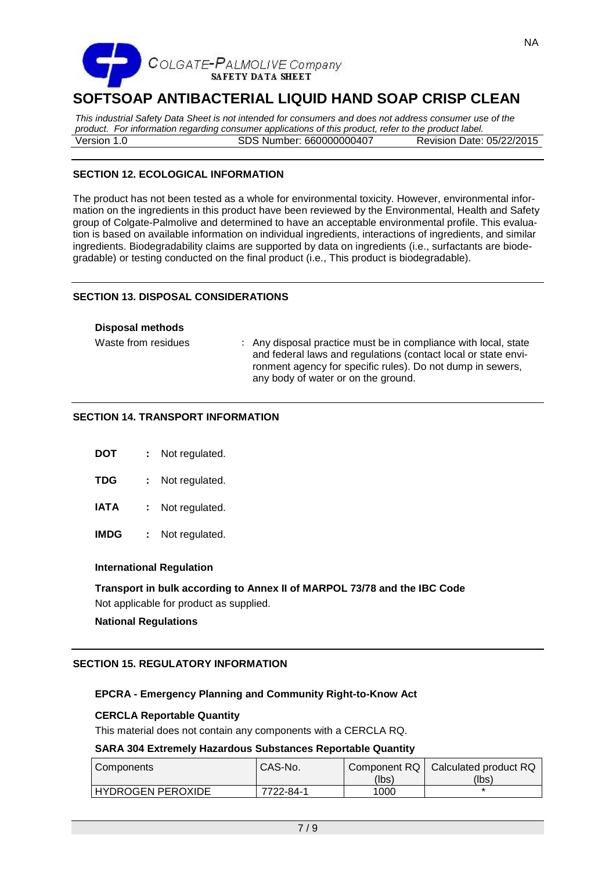

*This industrial Safety Data Sheet is not intended for consumers and does not address consumer use of the product. For information regarding consumer applications of this product, refer to the product label.* SDS Number: 660000000407

# **SECTION 12. ECOLOGICAL INFORMATION**

The product has not been tested as a whole for environmental toxicity. However, environmental information on the ingredients in this product have been reviewed by the Environmental, Health and Safety group of Colgate-Palmolive and determined to have an acceptable environmental profile. This evaluation is based on available information on individual ingredients, interactions of ingredients, and similar ingredients. Biodegradability claims are supported by data on ingredients (i.e., surfactants are biodegradable) or testing conducted on the final product (i.e., This product is biodegradable).

# **SECTION 13. DISPOSAL CONSIDERATIONS**

#### **Disposal methods**

| Waste from residues | : Any disposal practice must be in compliance with local, state<br>and federal laws and regulations (contact local or state envi-<br>ronment agency for specific rules). Do not dump in sewers, |
|---------------------|-------------------------------------------------------------------------------------------------------------------------------------------------------------------------------------------------|
|                     | any body of water or on the ground.                                                                                                                                                             |

# **SECTION 14. TRANSPORT INFORMATION**

| DOT | Not regulated. |
|-----|----------------|
|     |                |

- **TDG :** Not regulated.
- **IATA :** Not regulated.
- **IMDG :** Not regulated.

#### **International Regulation**

# **Transport in bulk according to Annex II of MARPOL 73/78 and the IBC Code** Not applicable for product as supplied.

# **National Regulations**

# **SECTION 15. REGULATORY INFORMATION**

# **EPCRA - Emergency Planning and Community Right-to-Know Act**

# **CERCLA Reportable Quantity**

This material does not contain any components with a CERCLA RQ.

#### **SARA 304 Extremely Hazardous Substances Reportable Quantity**

| <b>Components</b>        | CAS-No.   |       | Component RQ   Calculated product RQ |
|--------------------------|-----------|-------|--------------------------------------|
|                          |           | (lbs) | (lbs)                                |
| <b>HYDROGEN PEROXIDE</b> | 7722-84-1 | 1000  |                                      |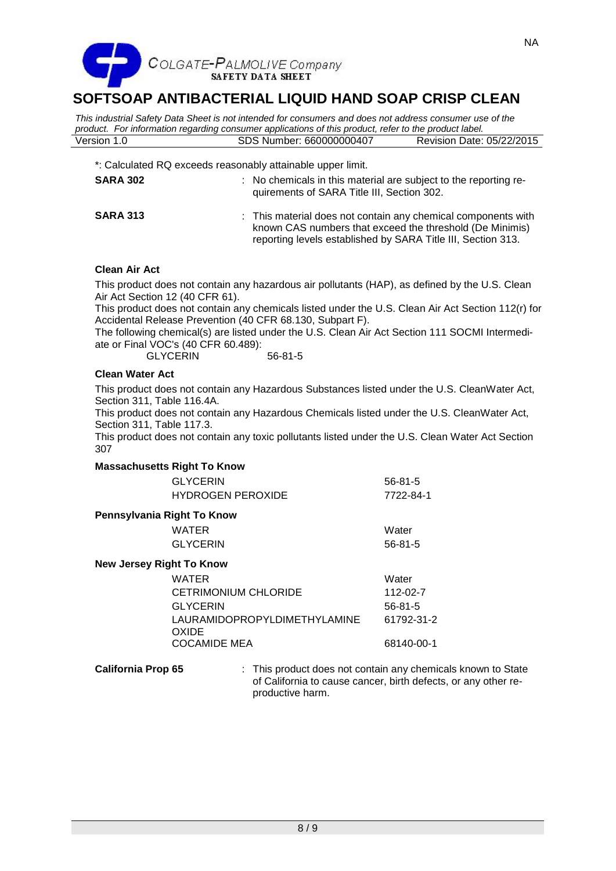

*This industrial Safety Data Sheet is not intended for consumers and does not address consumer use of the product. For information regarding consumer applications of this product, refer to the product label.* SDS Number: 660000000407

\*: Calculated RQ exceeds reasonably attainable upper limit.

| <b>SARA 302</b> | : No chemicals in this material are subject to the reporting re-<br>quirements of SARA Title III, Section 302.                                                                            |
|-----------------|-------------------------------------------------------------------------------------------------------------------------------------------------------------------------------------------|
| <b>SARA 313</b> | : This material does not contain any chemical components with<br>known CAS numbers that exceed the threshold (De Minimis)<br>reporting levels established by SARA Title III, Section 313. |

# **Clean Air Act**

This product does not contain any hazardous air pollutants (HAP), as defined by the U.S. Clean Air Act Section 12 (40 CFR 61).

This product does not contain any chemicals listed under the U.S. Clean Air Act Section 112(r) for Accidental Release Prevention (40 CFR 68.130, Subpart F).

The following chemical(s) are listed under the U.S. Clean Air Act Section 111 SOCMI Intermediate or Final VOC's (40 CFR 60.489):

GLYCERIN 56-81-5

### **Clean Water Act**

This product does not contain any Hazardous Substances listed under the U.S. CleanWater Act, Section 311, Table 116.4A.

This product does not contain any Hazardous Chemicals listed under the U.S. CleanWater Act, Section 311, Table 117.3.

This product does not contain any toxic pollutants listed under the U.S. Clean Water Act Section 307

#### **Massachusetts Right To Know**

| <b>GLYCERIN</b>                 | $56 - 81 - 5$ |
|---------------------------------|---------------|
| <b>HYDROGEN PEROXIDE</b>        | 7722-84-1     |
| Pennsylvania Right To Know      |               |
| WATER                           | Water         |
| <b>GLYCERIN</b>                 | $56 - 81 - 5$ |
| <b>New Jersey Right To Know</b> |               |
| WATER                           | Water         |
| CETRIMONIUM CHLORIDE            | 112-02-7      |

| CETRIMONIUM CHLORIDE         | 112-02-7   |
|------------------------------|------------|
| GLYCERIN                     | 56-81-5    |
| LAURAMIDOPROPYLDIMETHYLAMINE | 61792-31-2 |
| OXIDE.                       |            |
| <b>COCAMIDE MEA</b>          | 68140-00-1 |

**California Prop 65** : This product does not contain any chemicals known to State of California to cause cancer, birth defects, or any other reproductive harm.